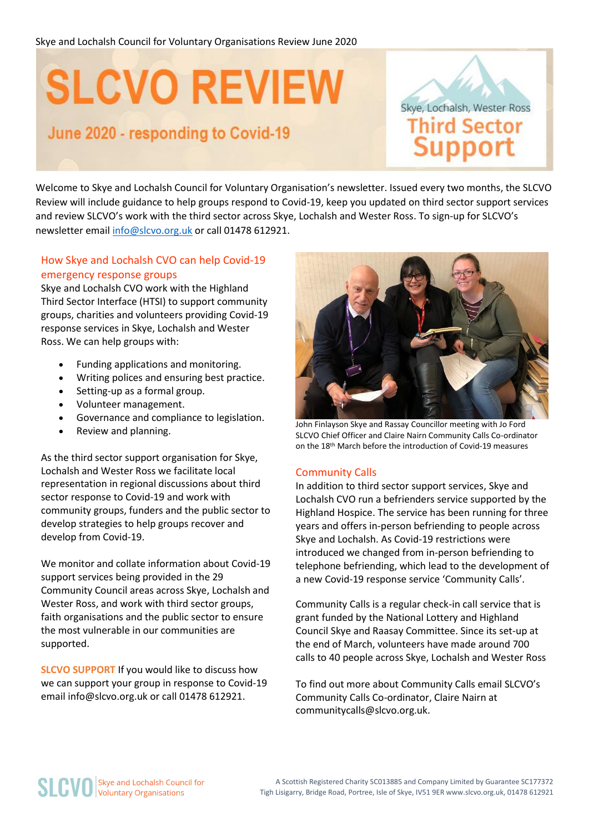# **SLCVO REVIEW**

### June 2020 - responding to Covid-19

Skye, Lochalsh, Wester Ross **Third Sector Support** 

Welcome to Skye and Lochalsh Council for Voluntary Organisation's newsletter. Issued every two months, the SLCVO Review will include guidance to help groups respond to Covid-19, keep you updated on third sector support services and review SLCVO's work with the third sector across Skye, Lochalsh and Wester Ross. To sign-up for SLCVO's newsletter emai[l info@slcvo.org.uk](mailto:info@slcvo.org.uk) or call 01478 612921.

### How Skye and Lochalsh CVO can help Covid-19 emergency response groups

Skye and Lochalsh CVO work with the Highland Third Sector Interface (HTSI) to support community groups, charities and volunteers providing Covid-19 response services in Skye, Lochalsh and Wester Ross. We can help groups with:

- Funding applications and monitoring.
- Writing polices and ensuring best practice.
- Setting-up as a formal group.
- Volunteer management.
- Governance and compliance to legislation.
- Review and planning.

As the third sector support organisation for Skye, Lochalsh and Wester Ross we facilitate local representation in regional discussions about third sector response to Covid-19 and work with community groups, funders and the public sector to develop strategies to help groups recover and develop from Covid-19.

We monitor and collate information about Covid-19 support services being provided in the 29 Community Council areas across Skye, Lochalsh and Wester Ross, and work with third sector groups, faith organisations and the public sector to ensure the most vulnerable in our communities are supported.

**SLCVO SUPPORT** If you would like to discuss how we can support your group in response to Covid-19 email info@slcvo.org.uk or call 01478 612921.



John Finlayson Skye and Rassay Councillor meeting with Jo Ford SLCVO Chief Officer and Claire Nairn Community Calls Co-ordinator on the 18th March before the introduction of Covid-19 measures

#### Community Calls

In addition to third sector support services, Skye and Lochalsh CVO run a befrienders service supported by the Highland Hospice. The service has been running for three years and offers in-person befriending to people across Skye and Lochalsh. As Covid-19 restrictions were introduced we changed from in-person befriending to telephone befriending, which lead to the development of a new Covid-19 response service 'Community Calls'.

Community Calls is a regular check-in call service that is grant funded by the National Lottery and Highland Council Skye and Raasay Committee. Since its set-up at the end of March, volunteers have made around 700 calls to 40 people across Skye, Lochalsh and Wester Ross

To find out more about Community Calls email SLCVO's Community Calls Co-ordinator, Claire Nairn at communitycalls@slcvo.org.uk.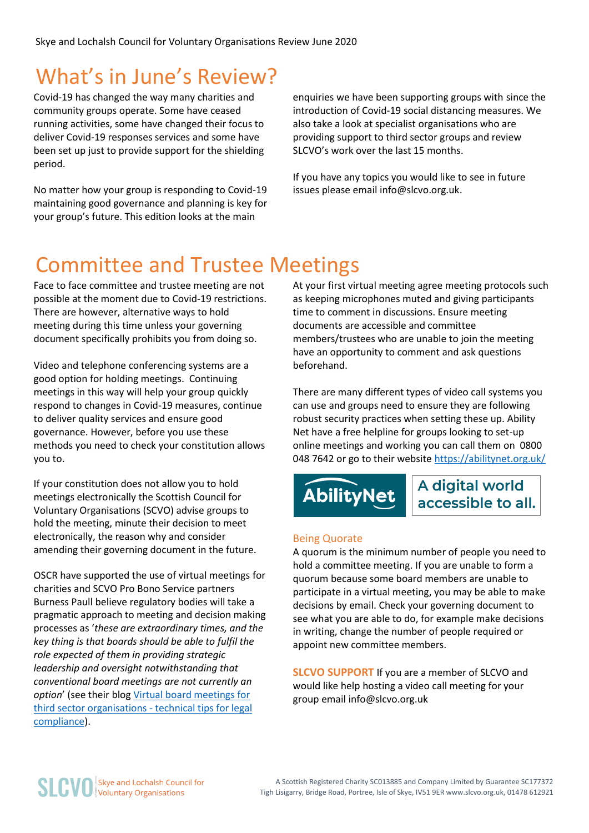### What's in June's Review?

Covid-19 has changed the way many charities and community groups operate. Some have ceased running activities, some have changed their focus to deliver Covid-19 responses services and some have been set up just to provide support for the shielding period.

No matter how your group is responding to Covid-19 maintaining good governance and planning is key for your group's future. This edition looks at the main

enquiries we have been supporting groups with since the introduction of Covid-19 social distancing measures. We also take a look at specialist organisations who are providing support to third sector groups and review SLCVO's work over the last 15 months.

If you have any topics you would like to see in future issues please email info@slcvo.org.uk.

### Committee and Trustee Meetings

Face to face committee and trustee meeting are not possible at the moment due to Covid-19 restrictions. There are however, alternative ways to hold meeting during this time unless your governing document specifically prohibits you from doing so.

Video and telephone conferencing systems are a good option for holding meetings. Continuing meetings in this way will help your group quickly respond to changes in Covid-19 measures, continue to deliver quality services and ensure good governance. However, before you use these methods you need to check your constitution allows you to.

If your constitution does not allow you to hold meetings electronically the Scottish Council for Voluntary Organisations (SCVO) advise groups to hold the meeting, minute their decision to meet electronically, the reason why and consider amending their governing document in the future.

OSCR have supported the use of virtual meetings for charities and SCVO Pro Bono Service partners Burness Paull believe regulatory bodies will take a pragmatic approach to meeting and decision making processes as '*these are extraordinary times, and the key thing is that boards should be able to fulfil the role expected of them in providing strategic leadership and oversight notwithstanding that conventional board meetings are not currently an option*' (see their blog [Virtual board meetings for](https://www.burnesspaull.com/insights-and-events/news/virtual-board-meetings-for-third-sector-organisations-technical-tips-for-legal-compliance)  [third sector organisations -](https://www.burnesspaull.com/insights-and-events/news/virtual-board-meetings-for-third-sector-organisations-technical-tips-for-legal-compliance) technical tips for legal [compliance\)](https://www.burnesspaull.com/insights-and-events/news/virtual-board-meetings-for-third-sector-organisations-technical-tips-for-legal-compliance).

At your first virtual meeting agree meeting protocols such as keeping microphones muted and giving participants time to comment in discussions. Ensure meeting documents are accessible and committee members/trustees who are unable to join the meeting have an opportunity to comment and ask questions beforehand.

There are many different types of video call systems you can use and groups need to ensure they are following robust security practices when setting these up. Ability Net have a free helpline for groups looking to set-up online meetings and working you can call them on 0800 048 7642 or go to their website <https://abilitynet.org.uk/>

## **AbilityNet**

A digital world accessible to all.

#### Being Quorate

A quorum is the minimum number of people you need to hold a committee meeting. If you are unable to form a quorum because some board members are unable to participate in a virtual meeting, you may be able to make decisions by email. Check your governing document to see what you are able to do, for example make decisions in writing, change the number of people required or appoint new committee members.

**SLCVO SUPPORT** If you are a member of SLCVO and would like help hosting a video call meeting for your group email info@slcvo.org.uk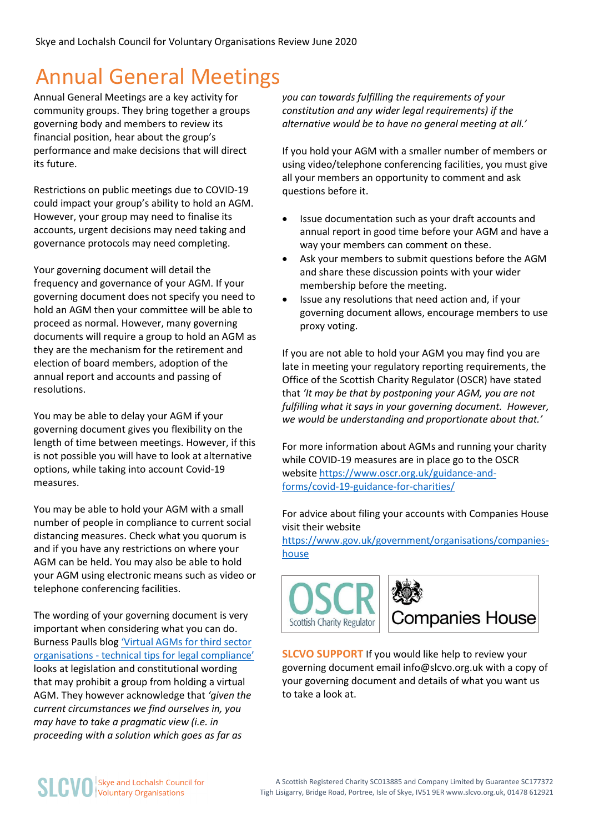### Annual General Meetings

Annual General Meetings are a key activity for community groups. They bring together a groups governing body and members to review its financial position, hear about the group's performance and make decisions that will direct its future.

Restrictions on public meetings due to COVID-19 could impact your group's ability to hold an AGM. However, your group may need to finalise its accounts, urgent decisions may need taking and governance protocols may need completing.

Your governing document will detail the frequency and governance of your AGM. If your governing document does not specify you need to hold an AGM then your committee will be able to proceed as normal. However, many governing documents will require a group to hold an AGM as they are the mechanism for the retirement and election of board members, adoption of the annual report and accounts and passing of resolutions.

You may be able to delay your AGM if your governing document gives you flexibility on the length of time between meetings. However, if this is not possible you will have to look at alternative options, while taking into account Covid-19 measures.

You may be able to hold your AGM with a small number of people in compliance to current social distancing measures. Check what you quorum is and if you have any restrictions on where your AGM can be held. You may also be able to hold your AGM using electronic means such as video or telephone conferencing facilities.

The wording of your governing document is very important when considering what you can do. Burness Paulls blog ['Virtual AGMs for third sector](https://www.burnesspaull.com/insights-and-events/news/virtual-agms-for-third-sector-organisations-technical-tips-for-legal-compliance)  organisations - tech[nical tips for legal compliance'](https://www.burnesspaull.com/insights-and-events/news/virtual-agms-for-third-sector-organisations-technical-tips-for-legal-compliance) looks at legislation and constitutional wording that may prohibit a group from holding a virtual AGM. They however acknowledge that *'given the current circumstances we find ourselves in, you may have to take a pragmatic view (i.e. in proceeding with a solution which goes as far as* 

*you can towards fulfilling the requirements of your constitution and any wider legal requirements) if the alternative would be to have no general meeting at all.'*

If you hold your AGM with a smaller number of members or using video/telephone conferencing facilities, you must give all your members an opportunity to comment and ask questions before it.

- Issue documentation such as your draft accounts and annual report in good time before your AGM and have a way your members can comment on these.
- Ask your members to submit questions before the AGM and share these discussion points with your wider membership before the meeting.
- Issue any resolutions that need action and, if your governing document allows, encourage members to use proxy voting.

If you are not able to hold your AGM you may find you are late in meeting your regulatory reporting requirements, the Office of the Scottish Charity Regulator (OSCR) have stated that *'It may be that by postponing your AGM, you are not fulfilling what it says in your governing document. However, we would be understanding and proportionate about that.'*

For more information about AGMs and running your charity while COVID-19 measures are in place go to the OSCR website [https://www.oscr.org.uk/guidance-and](https://www.oscr.org.uk/guidance-and-forms/covid-19-guidance-for-charities/)[forms/covid-19-guidance-for-charities/](https://www.oscr.org.uk/guidance-and-forms/covid-19-guidance-for-charities/)

For advice about filing your accounts with Companies House visit their website

[https://www.gov.uk/government/organisations/companies](https://www.gov.uk/government/news/coronavirus-if-your-company-cannot-file-accounts-with-companies-house-on-time)[house](https://www.gov.uk/government/news/coronavirus-if-your-company-cannot-file-accounts-with-companies-house-on-time)



**SLCVO SUPPORT** If you would like help to review your governing document email info@slcvo.org.uk with a copy of your governing document and details of what you want us to take a look at.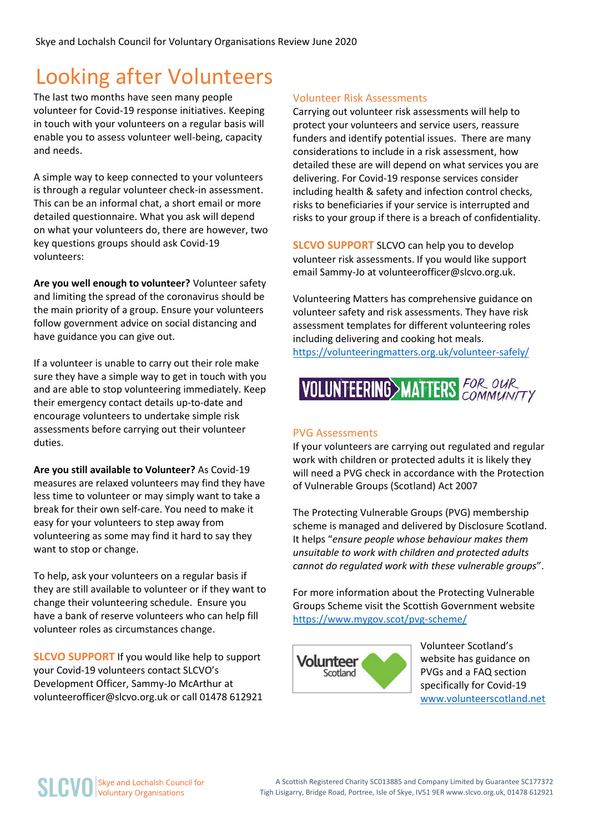### Looking after Volunteers

The last two months have seen many people volunteer for Covid-19 response initiatives. Keeping in touch with your volunteers on a regular basis will enable you to assess volunteer well-being, capacity and needs.

A simple way to keep connected to your volunteers is through a regular volunteer check-in assessment. This can be an informal chat, a short email or more detailed questionnaire. What you ask will depend on what your volunteers do, there are however, two key questions groups should ask Covid-19 volunteers:

**Are you well enough to volunteer?** Volunteer safety and limiting the spread of the coronavirus should be the main priority of a group. Ensure your volunteers follow government advice on social distancing and have guidance you can give out.

If a volunteer is unable to carry out their role make sure they have a simple way to get in touch with you and are able to stop volunteering immediately. Keep their emergency contact details up-to-date and encourage volunteers to undertake simple risk assessments before carrying out their volunteer duties.

**Are you still available to Volunteer?** As Covid-19 measures are relaxed volunteers may find they have less time to volunteer or may simply want to take a break for their own self-care. You need to make it easy for your volunteers to step away from volunteering as some may find it hard to say they want to stop or change.

To help, ask your volunteers on a regular basis if they are still available to volunteer or if they want to change their volunteering schedule. Ensure you have a bank of reserve volunteers who can help fill volunteer roles as circumstances change.

**SLCVO SUPPORT** If you would like help to support your Covid-19 volunteers contact SLCVO's Development Officer, Sammy-Jo McArthur at volunteerofficer@slcvo.org.uk or call 01478 612921

### Volunteer Risk Assessments

Carrying out volunteer risk assessments will help to protect your volunteers and service users, reassure funders and identify potential issues. There are many considerations to include in a risk assessment, how detailed these are will depend on what services you are delivering. For Covid-19 response services consider including health & safety and infection control checks, risks to beneficiaries if your service is interrupted and risks to your group if there is a breach of confidentiality.

**SLCVO SUPPORT** SLCVO can help you to develop volunteer risk assessments. If you would like support email Sammy-Jo at volunteerofficer@slcvo.org.uk.

Volunteering Matters has comprehensive guidance on volunteer safety and risk assessments. They have risk assessment templates for different volunteering roles including delivering and cooking hot meals. <https://volunteeringmatters.org.uk/volunteer-safely/>



#### PVG Assessments

If your volunteers are carrying out regulated and regular work with children or protected adults it is likely they will need a PVG check in accordance with the Protection of Vulnerable Groups (Scotland) Act 2007

The Protecting Vulnerable Groups (PVG) membership scheme is managed and delivered by Disclosure Scotland. It helps "*ensure people whose behaviour makes them unsuitable to work with children and protected adults cannot do regulated work with these vulnerable groups*".

For more information about the Protecting Vulnerable Groups Scheme visit the Scottish Government website <https://www.mygov.scot/pvg-scheme/>



Volunteer Scotland's website has guidance on PVGs and a FAQ section specifically for Covid-19 [www.volunteerscotland.net](https://www.volunteerscotland.net/for-organisations/disclosure-services/pvg-and-coronavirus-covid-19/)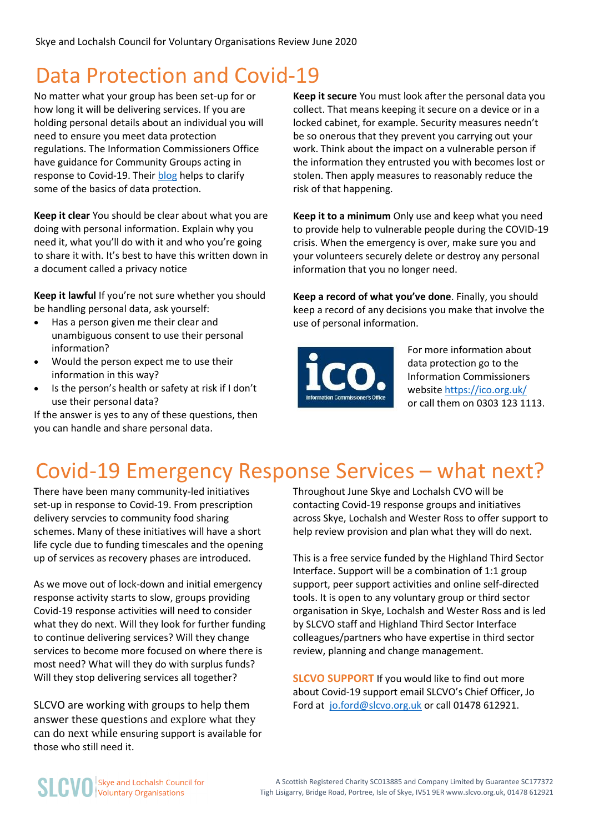### Data Protection and Covid-19

No matter what your group has been set-up for or how long it will be delivering services. If you are holding personal details about an individual you will need to ensure you meet data protection regulations. The Information Commissioners Office have guidance for Community Groups acting in response to Covid-19. Thei[r blog](https://ico.org.uk/global/data-protection-and-coronavirus-information-hub/data-protection-and-coronavirus/) helps to clarify some of the basics of data protection.

**Keep it clear** You should be clear about what you are doing with personal information. Explain why you need it, what you'll do with it and who you're going to share it with. It's best to have this written down in a document called a privacy notice

**Keep it lawful** If you're not sure whether you should be handling personal data, ask yourself:

- Has a person given me their clear and unambiguous consent to use their personal information?
- Would the person expect me to use their information in this way?
- Is the person's health or safety at risk if I don't use their personal data?

If the answer is yes to any of these questions, then you can handle and share personal data.

**Keep it secure** You must look after the personal data you collect. That means keeping it secure on a device or in a locked cabinet, for example. Security measures needn't be so onerous that they prevent you carrying out your work. Think about the impact on a vulnerable person if the information they entrusted you with becomes lost or stolen. Then apply measures to reasonably reduce the risk of that happening.

**Keep it to a minimum** Only use and keep what you need to provide help to vulnerable people during the COVID-19 crisis. When the emergency is over, make sure you and your volunteers securely delete or destroy any personal information that you no longer need.

**Keep a record of what you've done**. Finally, you should keep a record of any decisions you make that involve the use of personal information.



For more information about data protection go to the Information Commissioners websit[e https://ico.org.uk/](https://ico.org.uk/) or call them on 0303 123 1113.

### Covid-19 Emergency Response Services – what next?

There have been many community-led initiatives set-up in response to Covid-19. From prescription delivery servcies to community food sharing schemes. Many of these initiatives will have a short life cycle due to funding timescales and the opening up of services as recovery phases are introduced.

As we move out of lock-down and initial emergency response activity starts to slow, groups providing Covid-19 response activities will need to consider what they do next. Will they look for further funding to continue delivering services? Will they change services to become more focused on where there is most need? What will they do with surplus funds? Will they stop delivering services all together?

SLCVO are working with groups to help them answer these questions and explore what they can do next while ensuring support is available for those who still need it.

Throughout June Skye and Lochalsh CVO will be contacting Covid-19 response groups and initiatives across Skye, Lochalsh and Wester Ross to offer support to help review provision and plan what they will do next.

This is a free service funded by the Highland Third Sector Interface. Support will be a combination of 1:1 group support, peer support activities and online self-directed tools. It is open to any voluntary group or third sector organisation in Skye, Lochalsh and Wester Ross and is led by SLCVO staff and Highland Third Sector Interface colleagues/partners who have expertise in third sector review, planning and change management.

**SLCVO SUPPORT** If you would like to find out more about Covid-19 support email SLCVO's Chief Officer, Jo Ford at [jo.ford@slcvo.org.uk](mailto:jo.ford@slcvo.org.uk) or call 01478 612921.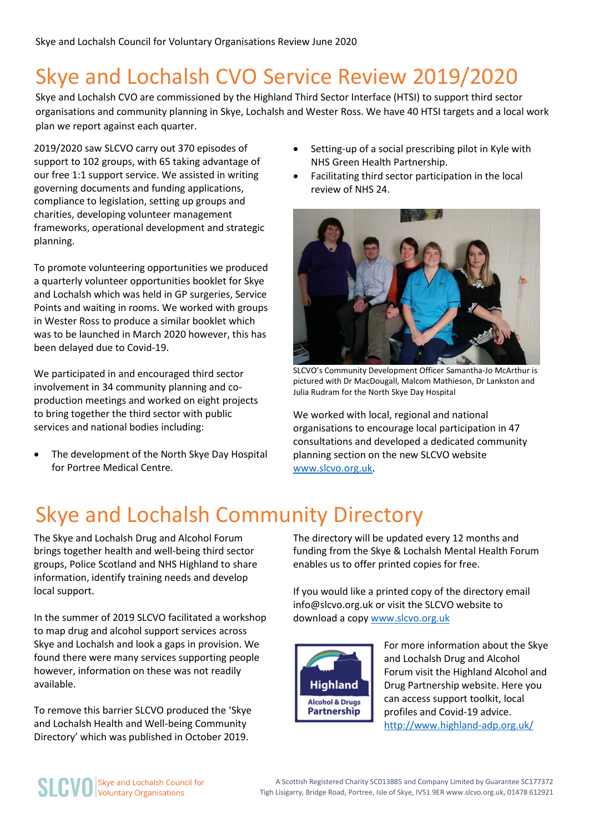### Skye and Lochalsh CVO Service Review 2019/2020

Skye and Lochalsh CVO are commissioned by the Highland Third Sector Interface (HTSI) to support third sector organisations and community planning in Skye, Lochalsh and Wester Ross. We have 40 HTSI targets and a local work plan we report against each quarter.

2019/2020 saw SLCVO carry out 370 episodes of support to 102 groups, with 65 taking advantage of our free 1:1 support service. We assisted in writing governing documents and funding applications, compliance to legislation, setting up groups and charities, developing volunteer management frameworks, operational development and strategic planning.

To promote volunteering opportunities we produced a quarterly volunteer opportunities booklet for Skye and Lochalsh which was held in GP surgeries, Service Points and waiting in rooms. We worked with groups in Wester Ross to produce a similar booklet which was to be launched in March 2020 however, this has been delayed due to Covid-19.

We participated in and encouraged third sector involvement in 34 community planning and coproduction meetings and worked on eight projects to bring together the third sector with public services and national bodies including:

 The development of the North Skye Day Hospital for Portree Medical Centre.

- Setting-up of a social prescribing pilot in Kyle with NHS Green Health Partnership.
- Facilitating third sector participation in the local review of NHS 24.



SLCVO's Community Development Officer Samantha-Jo McArthur is pictured with Dr MacDougall, Malcom Mathieson, Dr Lankston and Julia Rudram for the North Skye Day Hospital

We worked with local, regional and national organisations to encourage local participation in 47 consultations and developed a dedicated community planning section on the new SLCVO website [www.slcvo.org.uk.](http://www.slcvo.org.uk/)

### Skye and Lochalsh Community Directory

The Skye and Lochalsh Drug and Alcohol Forum brings together health and well-being third sector groups, Police Scotland and NHS Highland to share information, identify training needs and develop local support.

In the summer of 2019 SLCVO facilitated a workshop to map drug and alcohol support services across Skye and Lochalsh and look a gaps in provision. We found there were many services supporting people however, information on these was not readily available.

To remove this barrier SLCVO produced the 'Skye and Lochalsh Health and Well-being Community Directory' which was published in October 2019.

The directory will be updated every 12 months and funding from the Skye & Lochalsh Mental Health Forum enables us to offer printed copies for free.

If you would like a printed copy of the directory email info@slcvo.org.uk or visit the SLCVO website to download a copy [www.slcvo.org.uk](http://www.slcvo.org.uk/)



For more information about the Skye and Lochalsh Drug and Alcohol Forum visit the Highland Alcohol and Drug Partnership website. Here you can access support toolkit, local profiles and Covid-19 advice. <http://www.highland-adp.org.uk/>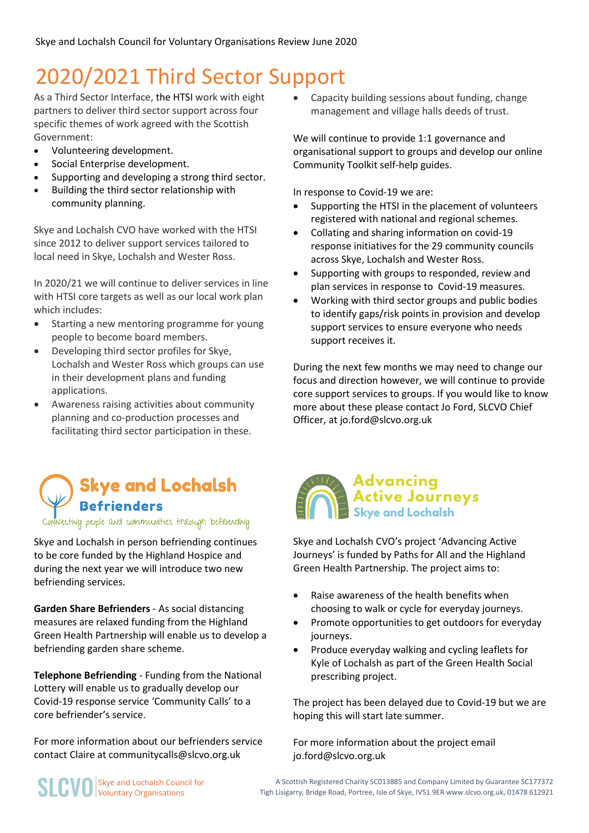### 2020/2021 Third Sector Support

As a Third Sector Interface, the HTSI work with eight partners to deliver third sector support across four specific themes of work agreed with the Scottish Government:

- Volunteering development.
- Social Enterprise development.
- Supporting and developing a strong third sector.
- Building the third sector relationship with community planning.

Skye and Lochalsh CVO have worked with the HTSI since 2012 to deliver support services tailored to local need in Skye, Lochalsh and Wester Ross.

In 2020/21 we will continue to deliver services in line with HTSI core targets as well as our local work plan which includes:

- Starting a new mentoring programme for young people to become board members.
- Developing third sector profiles for Skye, Lochalsh and Wester Ross which groups can use in their development plans and funding applications.
- Awareness raising activities about community planning and co-production processes and facilitating third sector participation in these.

 Capacity building sessions about funding, change management and village halls deeds of trust.

We will continue to provide 1:1 governance and organisational support to groups and develop our online Community Toolkit self-help guides.

In response to Covid-19 we are:

- Supporting the HTSI in the placement of volunteers registered with national and regional schemes.
- Collating and sharing information on covid-19 response initiatives for the 29 community councils across Skye, Lochalsh and Wester Ross.
- Supporting with groups to responded, review and plan services in response to Covid-19 measures.
- Working with third sector groups and public bodies to identify gaps/risk points in provision and develop support services to ensure everyone who needs support receives it.

During the next few months we may need to change our focus and direction however, we will continue to provide core support services to groups. If you would like to know more about these please contact Jo Ford, SLCVO Chief Officer, at jo.ford@slcvo.org.uk

### Skye and Lochalsh **Befrienders**

Necting people and communities thRough befriending

Skye and Lochalsh in person befriending continues to be core funded by the Highland Hospice and during the next year we will introduce two new befriending services.

**Garden Share Befrienders** - As social distancing measures are relaxed funding from the Highland Green Health Partnership will enable us to develop a befriending garden share scheme.

**Telephone Befriending** - Funding from the National Lottery will enable us to gradually develop our Covid-19 response service 'Community Calls' to a core befriender's service.

For more information about our befrienders service contact Claire at communitycalls@slcvo.org.uk



Skye and Lochalsh CVO's project 'Advancing Active Journeys' is funded by Paths for All and the Highland Green Health Partnership. The project aims to:

- Raise awareness of the health benefits when choosing to walk or cycle for everyday journeys.
- Promote opportunities to get outdoors for everyday journeys.
- Produce everyday walking and cycling leaflets for Kyle of Lochalsh as part of the Green Health Social prescribing project.

The project has been delayed due to Covid-19 but we are hoping this will start late summer.

For more information about the project email jo.ford@slcvo.org.uk

**SLCVO** Skye and Lochalsh Cound<br>Voluntary Organisations Skye and Lochalsh Council for

A Scottish Registered Charity SC013885 and Company Limited by Guarantee SC177372 Tigh Lisigarry, Bridge Road, Portree, Isle of Skye, IV51 9ER www.slcvo.org.uk, 01478 612921